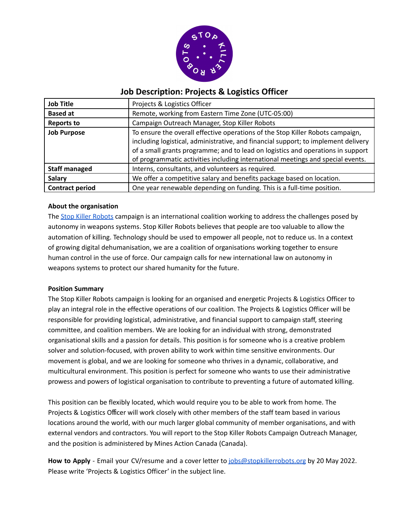

# **Job Description: Projects & Logistics Officer**

| <b>Job Title</b>       | Projects & Logistics Officer                                                                                                                                                                                                                            |
|------------------------|---------------------------------------------------------------------------------------------------------------------------------------------------------------------------------------------------------------------------------------------------------|
| <b>Based at</b>        | Remote, working from Eastern Time Zone (UTC-05:00)                                                                                                                                                                                                      |
| <b>Reports to</b>      | Campaign Outreach Manager, Stop Killer Robots                                                                                                                                                                                                           |
| <b>Job Purpose</b>     | To ensure the overall effective operations of the Stop Killer Robots campaign,<br>including logistical, administrative, and financial support; to implement delivery<br>of a small grants programme; and to lead on logistics and operations in support |
|                        | of programmatic activities including international meetings and special events.                                                                                                                                                                         |
| <b>Staff managed</b>   | Interns, consultants, and volunteers as required.                                                                                                                                                                                                       |
| Salary                 | We offer a competitive salary and benefits package based on location.                                                                                                                                                                                   |
| <b>Contract period</b> | One year renewable depending on funding. This is a full-time position.                                                                                                                                                                                  |

# **About the organisation**

The Stop Killer [Robots](http://www.stopkillerrobots.org) campaign is an international coalition working to address the challenges posed by autonomy in weapons systems. Stop Killer Robots believes that people are too valuable to allow the automation of killing. Technology should be used to empower all people, not to reduce us. In a context of growing digital dehumanisation, we are a coalition of organisations working together to ensure human control in the use of force. Our campaign calls for new international law on autonomy in weapons systems to protect our shared humanity for the future.

# **Position Summary**

The Stop Killer Robots campaign is looking for an organised and energetic Projects & Logistics Officer to play an integral role in the effective operations of our coalition. The Projects & Logistics Officer will be responsible for providing logistical, administrative, and financial support to campaign staff, steering committee, and coalition members. We are looking for an individual with strong, demonstrated organisational skills and a passion for details. This position is for someone who is a creative problem solver and solution-focused, with proven ability to work within time sensitive environments. Our movement is global, and we are looking for someone who thrives in a dynamic, collaborative, and multicultural environment. This position is perfect for someone who wants to use their administrative prowess and powers of logistical organisation to contribute to preventing a future of automated killing.

This position can be flexibly located, which would require you to be able to work from home. The Projects & Logistics Officer will work closely with other members of the staff team based in various locations around the world, with our much larger global community of member organisations, and with external vendors and contractors. You will report to the Stop Killer Robots Campaign Outreach Manager, and the position is administered by Mines Action Canada (Canada).

**How to Apply** - Email your CV/resume and a cover letter to [jobs@stopkillerrobots.org](mailto:jobs@stopkillerrobots.org) by 20 May 2022. Please write 'Projects & Logistics Officer' in the subject line.